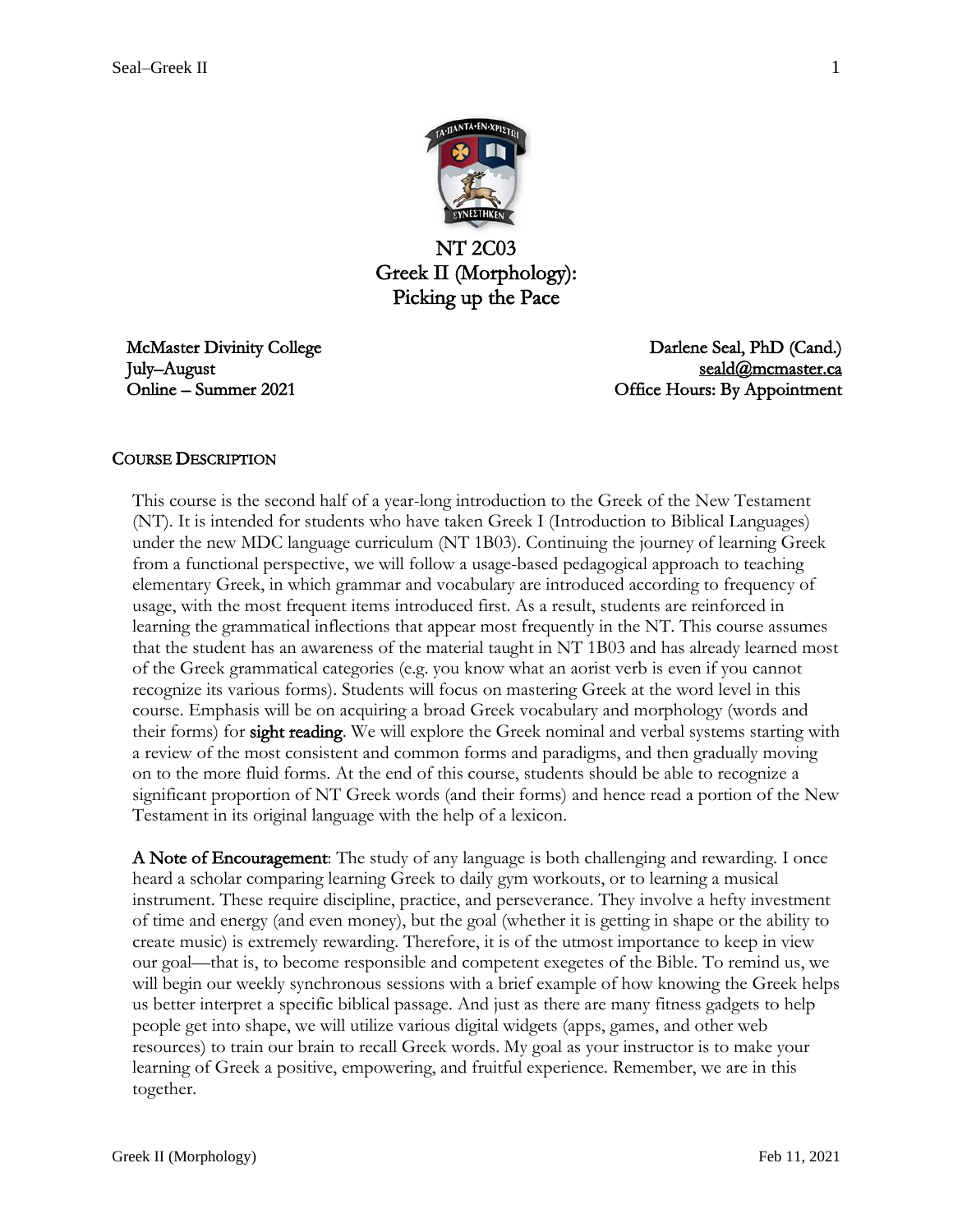

NT 2C03 Greek II (Morphology): Picking up the Pace

McMaster Divinity College July–August Online – Summer 2021

Darlene Seal, PhD (Cand.) [seald@mcmaster.ca](mailto:seald@mcmaster.ca)  Office Hours: By Appointment

#### COURSE DESCRIPTION

This course is the second half of a year-long introduction to the Greek of the New Testament (NT). It is intended for students who have taken Greek I (Introduction to Biblical Languages) under the new MDC language curriculum (NT 1B03). Continuing the journey of learning Greek from a functional perspective, we will follow a usage-based pedagogical approach to teaching elementary Greek, in which grammar and vocabulary are introduced according to frequency of usage, with the most frequent items introduced first. As a result, students are reinforced in learning the grammatical inflections that appear most frequently in the NT. This course assumes that the student has an awareness of the material taught in NT 1B03 and has already learned most of the Greek grammatical categories (e.g. you know what an aorist verb is even if you cannot recognize its various forms). Students will focus on mastering Greek at the word level in this course. Emphasis will be on acquiring a broad Greek vocabulary and morphology (words and their forms) for **sight reading**. We will explore the Greek nominal and verbal systems starting with a review of the most consistent and common forms and paradigms, and then gradually moving on to the more fluid forms. At the end of this course, students should be able to recognize a significant proportion of NT Greek words (and their forms) and hence read a portion of the New Testament in its original language with the help of a lexicon.

A Note of Encouragement: The study of any language is both challenging and rewarding. I once heard a scholar comparing learning Greek to daily gym workouts, or to learning a musical instrument. These require discipline, practice, and perseverance. They involve a hefty investment of time and energy (and even money), but the goal (whether it is getting in shape or the ability to create music) is extremely rewarding. Therefore, it is of the utmost importance to keep in view our goal—that is, to become responsible and competent exegetes of the Bible. To remind us, we will begin our weekly synchronous sessions with a brief example of how knowing the Greek helps us better interpret a specific biblical passage. And just as there are many fitness gadgets to help people get into shape, we will utilize various digital widgets (apps, games, and other web resources) to train our brain to recall Greek words. My goal as your instructor is to make your learning of Greek a positive, empowering, and fruitful experience. Remember, we are in this together.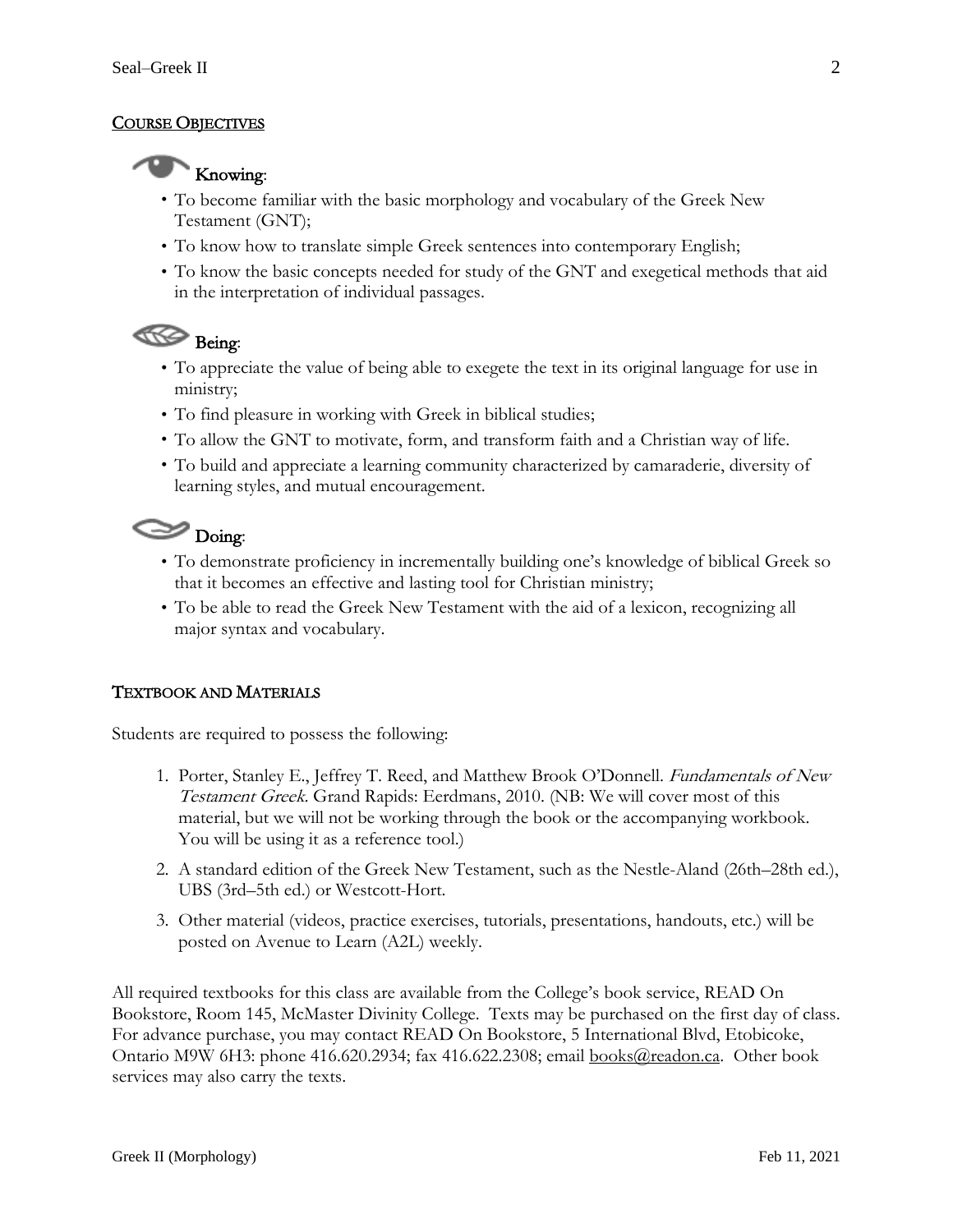## COURSE OBJECTIVES



- To become familiar with the basic morphology and vocabulary of the Greek New Testament (GNT);
- To know how to translate simple Greek sentences into contemporary English;
- To know the basic concepts needed for study of the GNT and exegetical methods that aid in the interpretation of individual passages.

# Being:

- To appreciate the value of being able to exegete the text in its original language for use in ministry;
- To find pleasure in working with Greek in biblical studies;
- To allow the GNT to motivate, form, and transform faith and a Christian way of life.
- To build and appreciate a learning community characterized by camaraderie, diversity of learning styles, and mutual encouragement.

# $\bigotimes$  Doing:

- To demonstrate proficiency in incrementally building one's knowledge of biblical Greek so that it becomes an effective and lasting tool for Christian ministry;
- To be able to read the Greek New Testament with the aid of a lexicon, recognizing all major syntax and vocabulary.

## TEXTBOOK AND MATERIALS

Students are required to possess the following:

- 1. Porter, Stanley E., Jeffrey T. Reed, and Matthew Brook O'Donnell. Fundamentals of New Testament Greek. Grand Rapids: Eerdmans, 2010. (NB: We will cover most of this material, but we will not be working through the book or the accompanying workbook. You will be using it as a reference tool.)
- 2. A standard edition of the Greek New Testament, such as the Nestle-Aland (26th–28th ed.), UBS (3rd–5th ed.) or Westcott-Hort.
- 3. Other material (videos, practice exercises, tutorials, presentations, handouts, etc.) will be posted on Avenue to Learn (A2L) weekly.

All required textbooks for this class are available from the College's book service, READ On Bookstore, Room 145, McMaster Divinity College. Texts may be purchased on the first day of class. For advance purchase, you may contact READ On Bookstore, 5 International Blvd, Etobicoke, Ontario M9W 6H3: phone 416.620.2934; fax 416.622.2308; email [books@readon.ca.](mailto:books@readon.ca) Other book services may also carry the texts.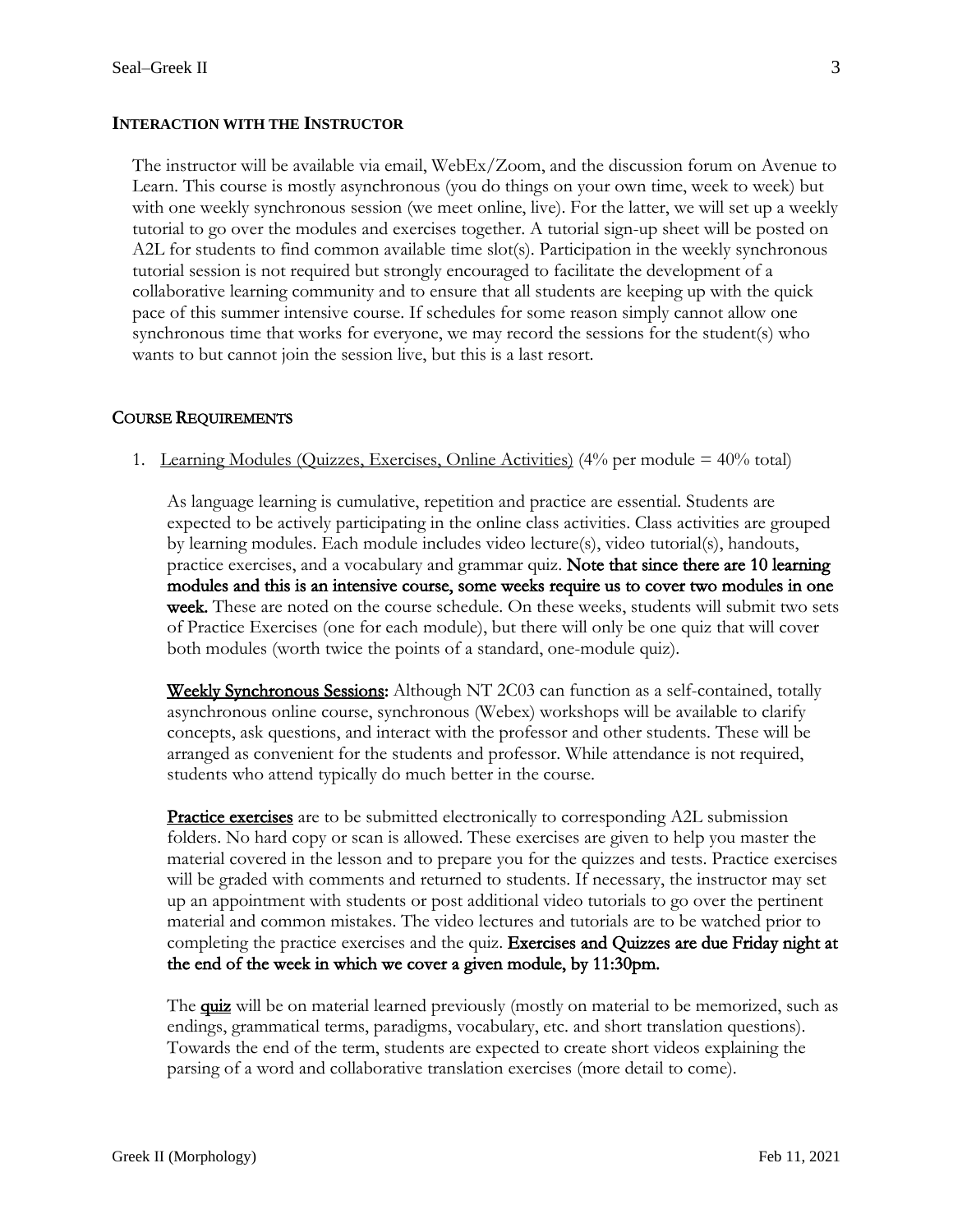#### **INTERACTION WITH THE INSTRUCTOR**

The instructor will be available via email, WebEx/Zoom, and the discussion forum on Avenue to Learn. This course is mostly asynchronous (you do things on your own time, week to week) but with one weekly synchronous session (we meet online, live). For the latter, we will set up a weekly tutorial to go over the modules and exercises together. A tutorial sign-up sheet will be posted on A2L for students to find common available time slot(s). Participation in the weekly synchronous tutorial session is not required but strongly encouraged to facilitate the development of a collaborative learning community and to ensure that all students are keeping up with the quick pace of this summer intensive course. If schedules for some reason simply cannot allow one synchronous time that works for everyone, we may record the sessions for the student(s) who wants to but cannot join the session live, but this is a last resort.

#### COURSE REQUIREMENTS

1. Learning Modules (Quizzes, Exercises, Online Activities) (4% per module = 40% total)

As language learning is cumulative, repetition and practice are essential. Students are expected to be actively participating in the online class activities. Class activities are grouped by learning modules. Each module includes video lecture(s), video tutorial(s), handouts, practice exercises, and a vocabulary and grammar quiz. Note that since there are 10 learning modules and this is an intensive course, some weeks require us to cover two modules in one week. These are noted on the course schedule. On these weeks, students will submit two sets of Practice Exercises (one for each module), but there will only be one quiz that will cover both modules (worth twice the points of a standard, one-module quiz).

Weekly Synchronous Sessions: Although NT 2C03 can function as a self-contained, totally asynchronous online course, synchronous (Webex) workshops will be available to clarify concepts, ask questions, and interact with the professor and other students. These will be arranged as convenient for the students and professor. While attendance is not required, students who attend typically do much better in the course.

**Practice exercises** are to be submitted electronically to corresponding A2L submission folders. No hard copy or scan is allowed. These exercises are given to help you master the material covered in the lesson and to prepare you for the quizzes and tests. Practice exercises will be graded with comments and returned to students. If necessary, the instructor may set up an appointment with students or post additional video tutorials to go over the pertinent material and common mistakes. The video lectures and tutorials are to be watched prior to completing the practice exercises and the quiz. Exercises and Quizzes are due Friday night at the end of the week in which we cover a given module, by 11:30pm.

The **quiz** will be on material learned previously (mostly on material to be memorized, such as endings, grammatical terms, paradigms, vocabulary, etc. and short translation questions). Towards the end of the term, students are expected to create short videos explaining the parsing of a word and collaborative translation exercises (more detail to come).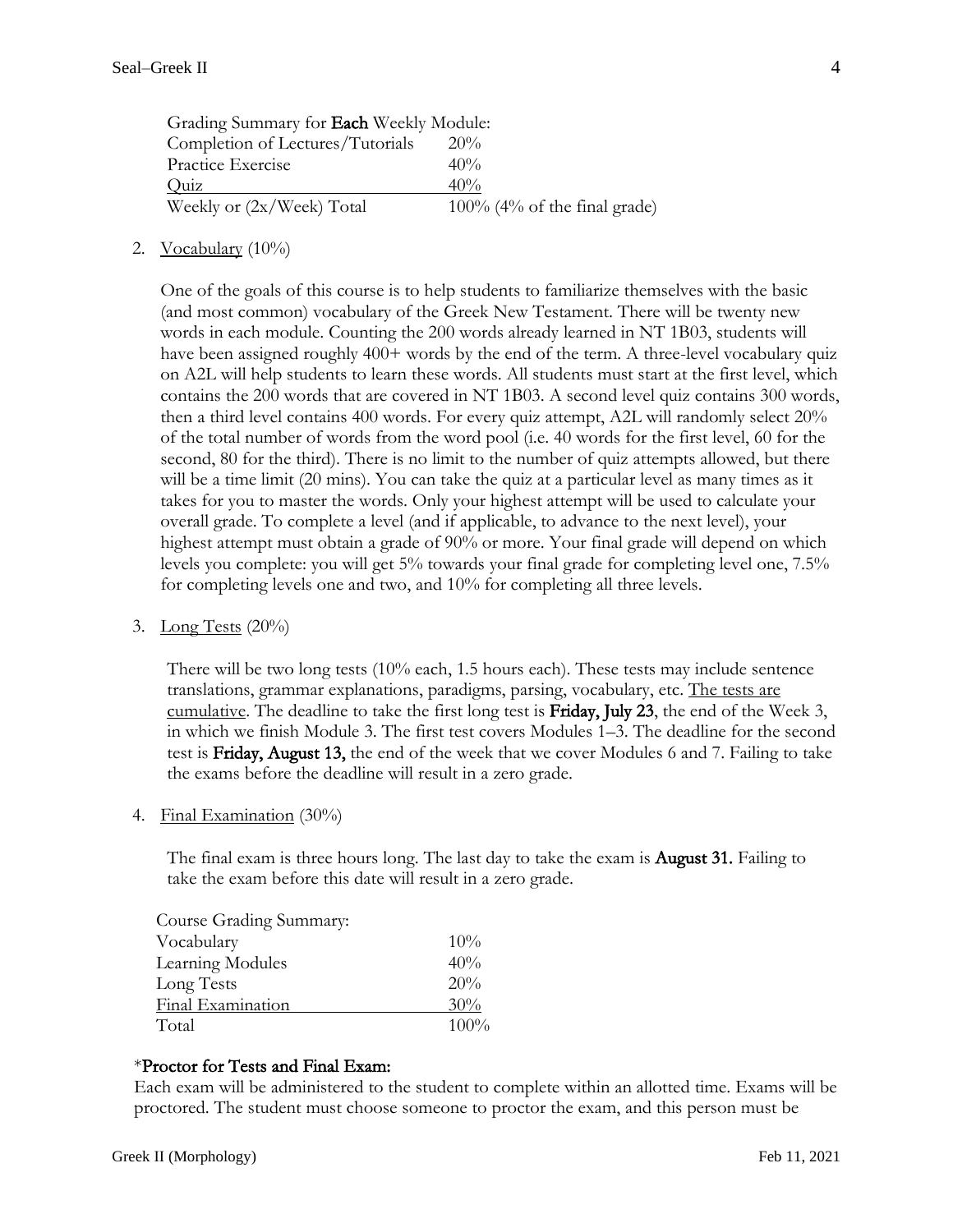| Grading Summary for Each Weekly Module: |                                 |  |  |  |
|-----------------------------------------|---------------------------------|--|--|--|
| Completion of Lectures/Tutorials        | $20\%$                          |  |  |  |
| Practice Exercise                       | 40%                             |  |  |  |
| Quiz                                    | 40%                             |  |  |  |
| Weekly or (2x/Week) Total               | $100\%$ (4% of the final grade) |  |  |  |

2. Vocabulary  $(10\%)$ 

One of the goals of this course is to help students to familiarize themselves with the basic (and most common) vocabulary of the Greek New Testament. There will be twenty new words in each module. Counting the 200 words already learned in NT 1B03, students will have been assigned roughly 400+ words by the end of the term. A three-level vocabulary quiz on A2L will help students to learn these words. All students must start at the first level, which contains the 200 words that are covered in NT 1B03. A second level quiz contains 300 words, then a third level contains 400 words. For every quiz attempt, A2L will randomly select 20% of the total number of words from the word pool (i.e. 40 words for the first level, 60 for the second, 80 for the third). There is no limit to the number of quiz attempts allowed, but there will be a time limit (20 mins). You can take the quiz at a particular level as many times as it takes for you to master the words. Only your highest attempt will be used to calculate your overall grade. To complete a level (and if applicable, to advance to the next level), your highest attempt must obtain a grade of 90% or more. Your final grade will depend on which levels you complete: you will get 5% towards your final grade for completing level one, 7.5% for completing levels one and two, and 10% for completing all three levels.

3. Long Tests  $(20\%)$ 

There will be two long tests (10% each, 1.5 hours each). These tests may include sentence translations, grammar explanations, paradigms, parsing, vocabulary, etc. The tests are cumulative. The deadline to take the first long test is Friday, July 23, the end of the Week 3, in which we finish Module 3. The first test covers Modules 1–3. The deadline for the second test is Friday, August 13, the end of the week that we cover Modules 6 and 7. Failing to take the exams before the deadline will result in a zero grade.

4. Final Examination (30%)

The final exam is three hours long. The last day to take the exam is August 31. Failing to take the exam before this date will result in a zero grade.

| Course Grading Summary: |      |
|-------------------------|------|
| Vocabulary              | 10%  |
| Learning Modules        | 40%  |
| Long Tests              | 20%  |
| Final Examination       | 30%  |
| Total                   | 100% |

#### \*Proctor for Tests and Final Exam:

Each exam will be administered to the student to complete within an allotted time. Exams will be proctored. The student must choose someone to proctor the exam, and this person must be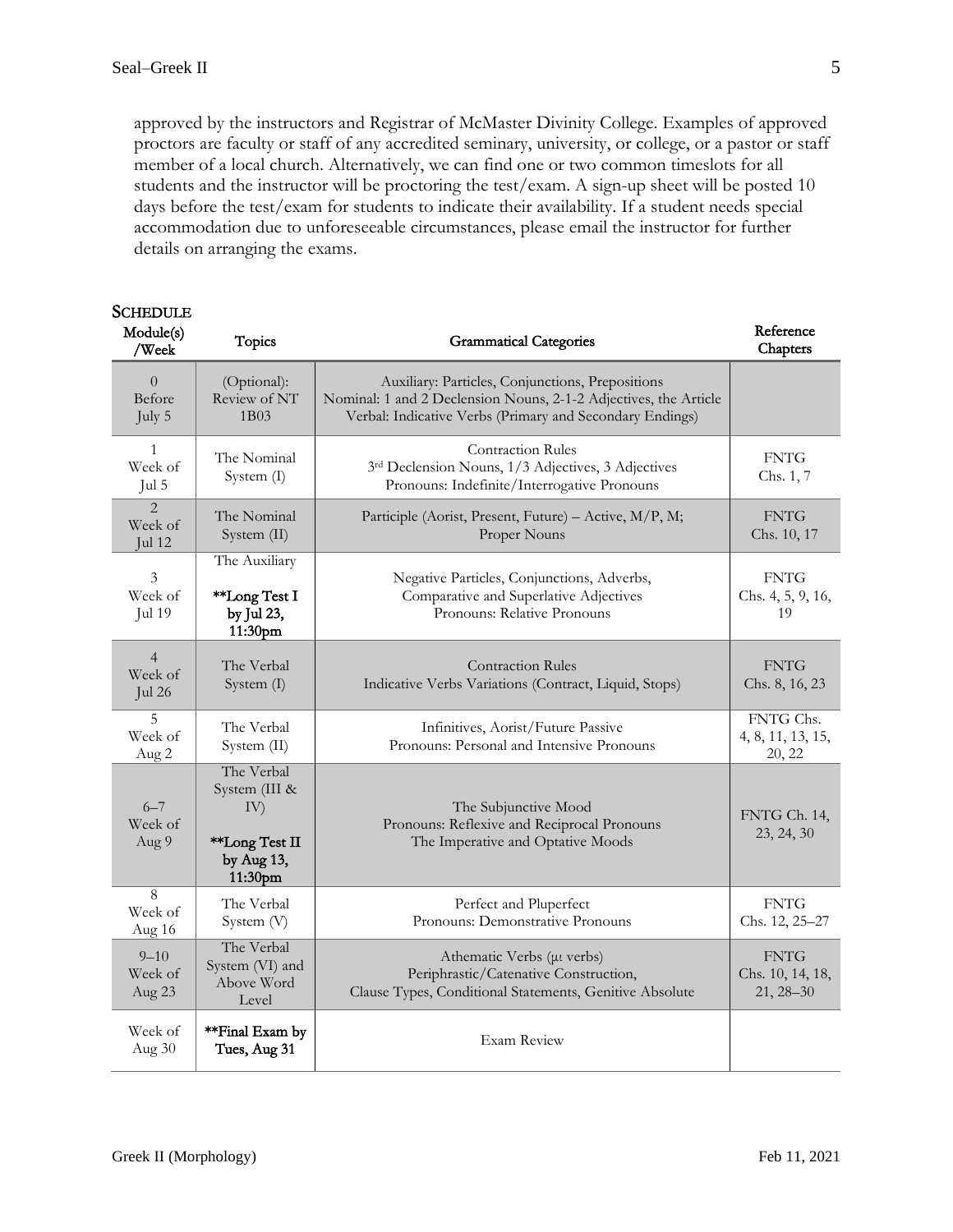approved by the instructors and Registrar of McMaster Divinity College. Examples of approved proctors are faculty or staff of any accredited seminary, university, or college, or a pastor or staff member of a local church. Alternatively, we can find one or two common timeslots for all students and the instructor will be proctoring the test/exam. A sign-up sheet will be posted 10 days before the test/exam for students to indicate their availability. If a student needs special accommodation due to unforeseeable circumstances, please email the instructor for further details on arranging the exams.

| <b>SCHEDULE</b><br>Module(s)<br>/Week          | <b>Topics</b>                                                                 | <b>Grammatical Categories</b>                                                                                                                                                    | Reference<br>Chapters                            |
|------------------------------------------------|-------------------------------------------------------------------------------|----------------------------------------------------------------------------------------------------------------------------------------------------------------------------------|--------------------------------------------------|
| $\Omega$<br>Before<br>July 5                   | (Optional):<br>Review of NT<br>1B03                                           | Auxiliary: Particles, Conjunctions, Prepositions<br>Nominal: 1 and 2 Declension Nouns, 2-1-2 Adjectives, the Article<br>Verbal: Indicative Verbs (Primary and Secondary Endings) |                                                  |
| 1<br>Week of<br>Jul 5                          | The Nominal<br>System $(I)$                                                   | <b>Contraction Rules</b><br>3rd Declension Nouns, 1/3 Adjectives, 3 Adjectives<br>Pronouns: Indefinite/Interrogative Pronouns                                                    | <b>FNTG</b><br>Chs. 1, 7                         |
| $\overline{2}$<br>Week of<br>$\mathrm{Iul}$ 12 | The Nominal<br>System (II)                                                    | Participle (Aorist, Present, Future) - Active, M/P, M;<br>Proper Nouns                                                                                                           | <b>FNTG</b><br>Chs. 10, 17                       |
| 3<br>Week of<br>Jul 19                         | The Auxiliary<br>**Long Test I<br>by Jul 23,<br>11:30pm                       | Negative Particles, Conjunctions, Adverbs,<br>Comparative and Superlative Adjectives<br>Pronouns: Relative Pronouns                                                              | <b>FNTG</b><br>Chs. 4, 5, 9, 16,<br>19           |
| $\overline{4}$<br>Week of<br>Jul 26            | The Verbal<br>System (I)                                                      | <b>Contraction Rules</b><br>Indicative Verbs Variations (Contract, Liquid, Stops)                                                                                                | <b>FNTG</b><br>Chs. 8, 16, 23                    |
| 5<br>Week of<br>Aug 2                          | The Verbal<br>System (II)                                                     | Infinitives, Aorist/Future Passive<br>Pronouns: Personal and Intensive Pronouns                                                                                                  | FNTG Chs.<br>4, 8, 11, 13, 15,<br>20, 22         |
| $6 - 7$<br>Week of<br>Aug 9                    | The Verbal<br>System (III &<br>IV)<br>**Long Test II<br>by Aug 13,<br>11:30pm | The Subjunctive Mood<br>Pronouns: Reflexive and Reciprocal Pronouns<br>The Imperative and Optative Moods                                                                         | FNTG Ch. 14,<br>23, 24, 30                       |
| 8<br>Week of<br>Aug 16                         | The Verbal<br>System (V)                                                      | Perfect and Pluperfect<br>Pronouns: Demonstrative Pronouns                                                                                                                       | <b>FNTG</b><br>Chs. 12, 25-27                    |
| $9 - 10$<br>Week of<br>Aug 23                  | The Verbal<br>System (VI) and<br>Above Word<br>Level                          | Athematic Verbs (µt verbs)<br>Periphrastic/Catenative Construction,<br>Clause Types, Conditional Statements, Genitive Absolute                                                   | <b>FNTG</b><br>Chs. 10, 14, 18,<br>$21, 28 - 30$ |
| Week of<br>Aug $30$                            | **Final Exam by<br>Tues, Aug 31                                               | Exam Review                                                                                                                                                                      |                                                  |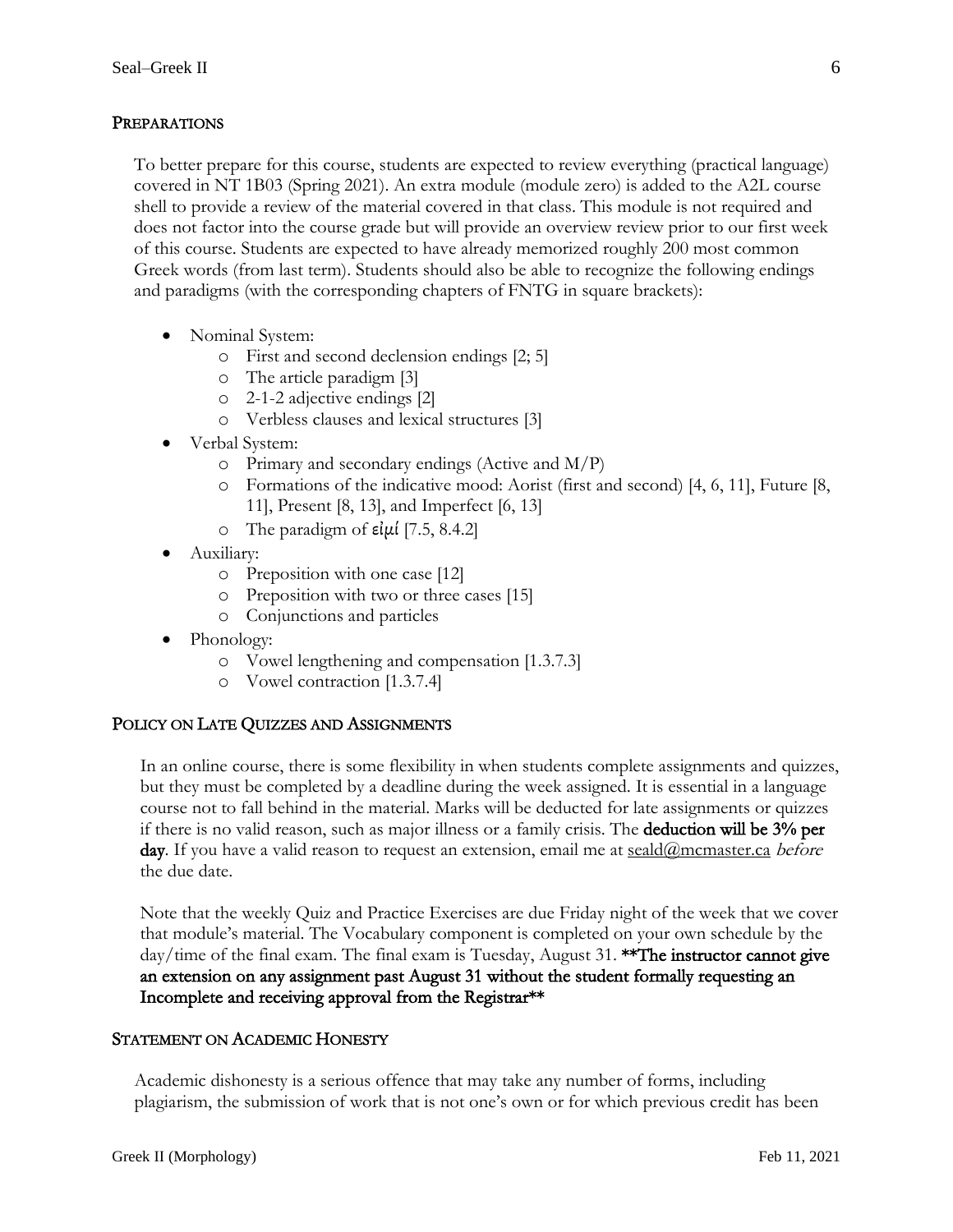## PREPARATIONS

To better prepare for this course, students are expected to review everything (practical language) covered in NT 1B03 (Spring 2021). An extra module (module zero) is added to the A2L course shell to provide a review of the material covered in that class. This module is not required and does not factor into the course grade but will provide an overview review prior to our first week of this course. Students are expected to have already memorized roughly 200 most common Greek words (from last term). Students should also be able to recognize the following endings and paradigms (with the corresponding chapters of FNTG in square brackets):

- Nominal System:
	- o First and second declension endings [2; 5]
	- o The article paradigm [3]
	- o 2-1-2 adjective endings [2]
	- o Verbless clauses and lexical structures [3]
- Verbal System:
	- $\circ$  Primary and secondary endings (Active and M/P)
	- o Formations of the indicative mood: Aorist (first and second) [4, 6, 11], Future [8, 11], Present [8, 13], and Imperfect [6, 13]
	- o The paradigm of  $\varepsilon$ ίμί [7.5, 8.4.2]
- Auxiliary:
	- o Preposition with one case [12]
	- o Preposition with two or three cases [15]
	- o Conjunctions and particles
- Phonology:
	- o Vowel lengthening and compensation [1.3.7.3]
	- o Vowel contraction [1.3.7.4]

## POLICY ON LATE QUIZZES AND ASSIGNMENTS

In an online course, there is some flexibility in when students complete assignments and quizzes, but they must be completed by a deadline during the week assigned. It is essential in a language course not to fall behind in the material. Marks will be deducted for late assignments or quizzes if there is no valid reason, such as major illness or a family crisis. The deduction will be 3% per day. If you have a valid reason to request an extension, email me at  $\frac{\text{seald}(a)}{\text{mm}}$ mcmaster.ca *before* the due date.

Note that the weekly Quiz and Practice Exercises are due Friday night of the week that we cover that module's material. The Vocabulary component is completed on your own schedule by the day/time of the final exam. The final exam is Tuesday, August 31. \*\*The instructor cannot give an extension on any assignment past August 31 without the student formally requesting an Incomplete and receiving approval from the Registrar\*\*

## STATEMENT ON ACADEMIC HONESTY

Academic dishonesty is a serious offence that may take any number of forms, including plagiarism, the submission of work that is not one's own or for which previous credit has been